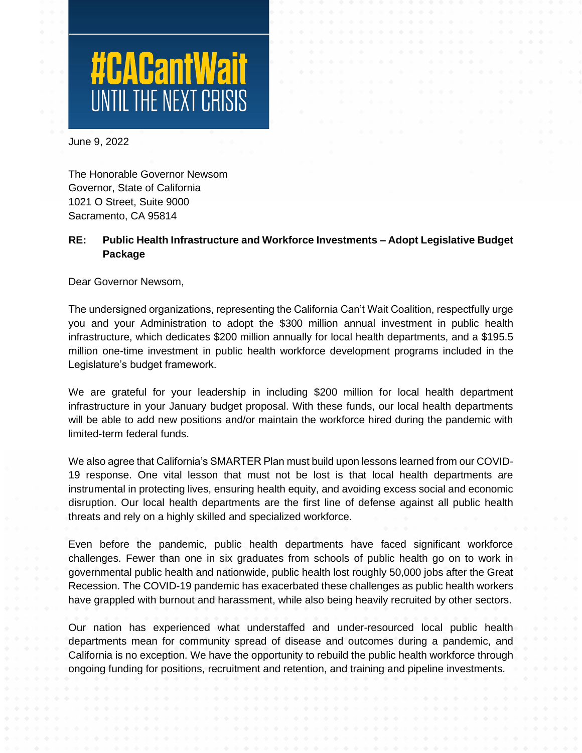

June 9, 2022

The Honorable Governor Newsom Governor, State of California 1021 O Street, Suite 9000 Sacramento, CA 95814

## **RE: Public Health Infrastructure and Workforce Investments – Adopt Legislative Budget Package**

Dear Governor Newsom,

The undersigned organizations, representing the California Can't Wait Coalition, respectfully urge you and your Administration to adopt the \$300 million annual investment in public health infrastructure, which dedicates \$200 million annually for local health departments, and a \$195.5 million one-time investment in public health workforce development programs included in the Legislature's budget framework.

We are grateful for your leadership in including \$200 million for local health department infrastructure in your January budget proposal. With these funds, our local health departments will be able to add new positions and/or maintain the workforce hired during the pandemic with limited-term federal funds.

We also agree that California's SMARTER Plan must build upon lessons learned from our COVID-19 response. One vital lesson that must not be lost is that local health departments are instrumental in protecting lives, ensuring health equity, and avoiding excess social and economic disruption. Our local health departments are the first line of defense against all public health threats and rely on a highly skilled and specialized workforce.

Even before the pandemic, public health departments have faced significant workforce challenges. Fewer than one in six graduates from schools of public health go on to work in governmental public health and nationwide, public health lost roughly 50,000 jobs after the Great Recession. The COVID-19 pandemic has exacerbated these challenges as public health workers have grappled with burnout and harassment, while also being heavily recruited by other sectors.

Our nation has experienced what understaffed and under-resourced local public health departments mean for community spread of disease and outcomes during a pandemic, and California is no exception. We have the opportunity to rebuild the public health workforce through ongoing funding for positions, recruitment and retention, and training and pipeline investments.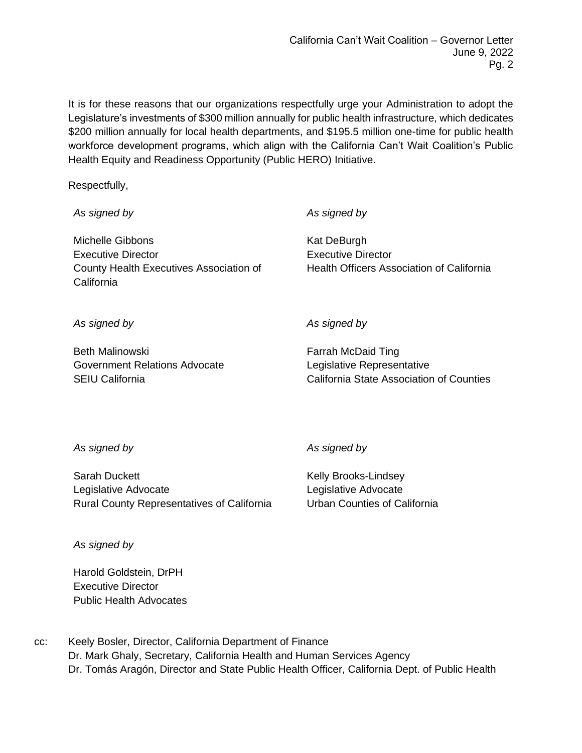It is for these reasons that our organizations respectfully urge your Administration to adopt the Legislature's investments of \$300 million annually for public health infrastructure, which dedicates \$200 million annually for local health departments, and \$195.5 million one-time for public health workforce development programs, which align with the California Can't Wait Coalition's Public Health Equity and Readiness Opportunity (Public HERO) Initiative.

Respectfully,

*As signed by* Michelle Gibbons Executive Director County Health Executives Association of California *As signed by* Kat DeBurgh Executive Director Health Officers Association of California *As signed by As signed by*

Beth Malinowski Government Relations Advocate SEIU California

Farrah McDaid Ting Legislative Representative California State Association of Counties

*As signed by*

*As signed by*

Sarah Duckett Legislative Advocate Rural County Representatives of California Kelly Brooks-Lindsey Legislative Advocate Urban Counties of California

*As signed by*

Harold Goldstein, DrPH Executive Director Public Health Advocates

cc: Keely Bosler, Director, California Department of Finance Dr. Mark Ghaly, Secretary, California Health and Human Services Agency Dr. Tomás Aragón, Director and State Public Health Officer, California Dept. of Public Health